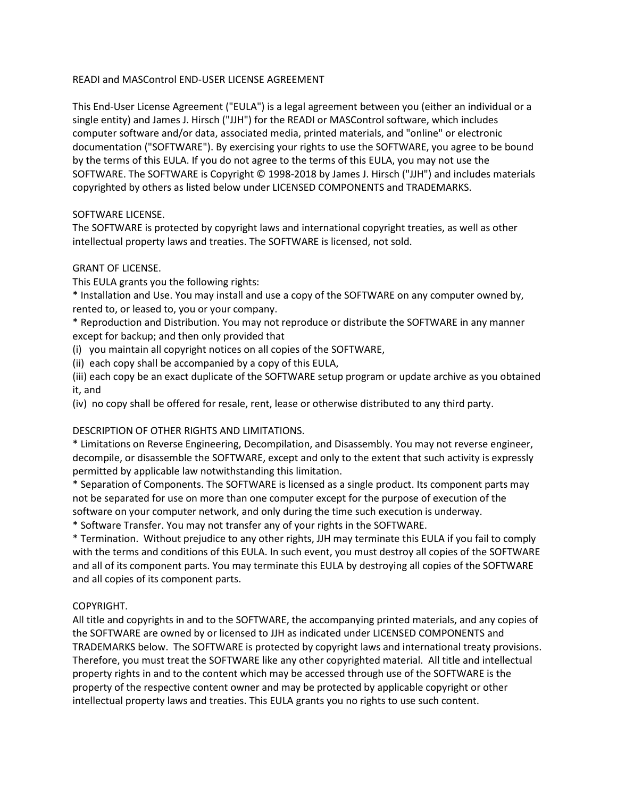### READI and MASControl END-USER LICENSE AGREEMENT

This End-User License Agreement ("EULA") is a legal agreement between you (either an individual or a single entity) and James J. Hirsch ("JJH") for the READI or MASControl software, which includes computer software and/or data, associated media, printed materials, and "online" or electronic documentation ("SOFTWARE"). By exercising your rights to use the SOFTWARE, you agree to be bound by the terms of this EULA. If you do not agree to the terms of this EULA, you may not use the SOFTWARE. The SOFTWARE is Copyright © 1998-2018 by James J. Hirsch ("JJH") and includes materials copyrighted by others as listed below under LICENSED COMPONENTS and TRADEMARKS.

### SOFTWARE LICENSE.

The SOFTWARE is protected by copyright laws and international copyright treaties, as well as other intellectual property laws and treaties. The SOFTWARE is licensed, not sold.

### GRANT OF LICENSE.

This EULA grants you the following rights:

\* Installation and Use. You may install and use a copy of the SOFTWARE on any computer owned by, rented to, or leased to, you or your company.

\* Reproduction and Distribution. You may not reproduce or distribute the SOFTWARE in any manner except for backup; and then only provided that

(i) you maintain all copyright notices on all copies of the SOFTWARE,

(ii) each copy shall be accompanied by a copy of this EULA,

(iii) each copy be an exact duplicate of the SOFTWARE setup program or update archive as you obtained it, and

(iv) no copy shall be offered for resale, rent, lease or otherwise distributed to any third party.

# DESCRIPTION OF OTHER RIGHTS AND LIMITATIONS.

\* Limitations on Reverse Engineering, Decompilation, and Disassembly. You may not reverse engineer, decompile, or disassemble the SOFTWARE, except and only to the extent that such activity is expressly permitted by applicable law notwithstanding this limitation.

\* Separation of Components. The SOFTWARE is licensed as a single product. Its component parts may not be separated for use on more than one computer except for the purpose of execution of the software on your computer network, and only during the time such execution is underway.

\* Software Transfer. You may not transfer any of your rights in the SOFTWARE.

\* Termination. Without prejudice to any other rights, JJH may terminate this EULA if you fail to comply with the terms and conditions of this EULA. In such event, you must destroy all copies of the SOFTWARE and all of its component parts. You may terminate this EULA by destroying all copies of the SOFTWARE and all copies of its component parts.

# COPYRIGHT.

All title and copyrights in and to the SOFTWARE, the accompanying printed materials, and any copies of the SOFTWARE are owned by or licensed to JJH as indicated under LICENSED COMPONENTS and TRADEMARKS below. The SOFTWARE is protected by copyright laws and international treaty provisions. Therefore, you must treat the SOFTWARE like any other copyrighted material. All title and intellectual property rights in and to the content which may be accessed through use of the SOFTWARE is the property of the respective content owner and may be protected by applicable copyright or other intellectual property laws and treaties. This EULA grants you no rights to use such content.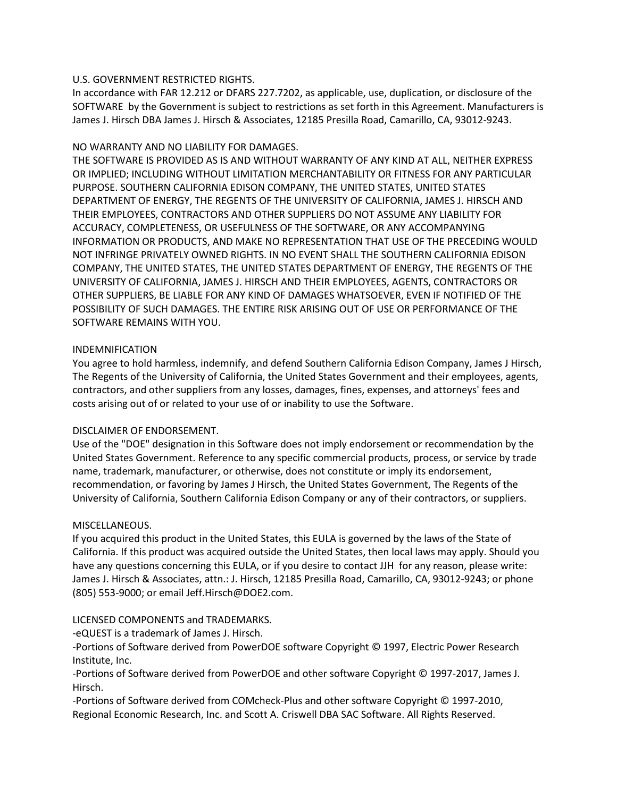### U.S. GOVERNMENT RESTRICTED RIGHTS.

In accordance with FAR 12.212 or DFARS 227.7202, as applicable, use, duplication, or disclosure of the SOFTWARE by the Government is subject to restrictions as set forth in this Agreement. Manufacturers is James J. Hirsch DBA James J. Hirsch & Associates, 12185 Presilla Road, Camarillo, CA, 93012-9243.

### NO WARRANTY AND NO LIABILITY FOR DAMAGES.

THE SOFTWARE IS PROVIDED AS IS AND WITHOUT WARRANTY OF ANY KIND AT ALL, NEITHER EXPRESS OR IMPLIED; INCLUDING WITHOUT LIMITATION MERCHANTABILITY OR FITNESS FOR ANY PARTICULAR PURPOSE. SOUTHERN CALIFORNIA EDISON COMPANY, THE UNITED STATES, UNITED STATES DEPARTMENT OF ENERGY, THE REGENTS OF THE UNIVERSITY OF CALIFORNIA, JAMES J. HIRSCH AND THEIR EMPLOYEES, CONTRACTORS AND OTHER SUPPLIERS DO NOT ASSUME ANY LIABILITY FOR ACCURACY, COMPLETENESS, OR USEFULNESS OF THE SOFTWARE, OR ANY ACCOMPANYING INFORMATION OR PRODUCTS, AND MAKE NO REPRESENTATION THAT USE OF THE PRECEDING WOULD NOT INFRINGE PRIVATELY OWNED RIGHTS. IN NO EVENT SHALL THE SOUTHERN CALIFORNIA EDISON COMPANY, THE UNITED STATES, THE UNITED STATES DEPARTMENT OF ENERGY, THE REGENTS OF THE UNIVERSITY OF CALIFORNIA, JAMES J. HIRSCH AND THEIR EMPLOYEES, AGENTS, CONTRACTORS OR OTHER SUPPLIERS, BE LIABLE FOR ANY KIND OF DAMAGES WHATSOEVER, EVEN IF NOTIFIED OF THE POSSIBILITY OF SUCH DAMAGES. THE ENTIRE RISK ARISING OUT OF USE OR PERFORMANCE OF THE SOFTWARE REMAINS WITH YOU.

### INDEMNIFICATION

You agree to hold harmless, indemnify, and defend Southern California Edison Company, James J Hirsch, The Regents of the University of California, the United States Government and their employees, agents, contractors, and other suppliers from any losses, damages, fines, expenses, and attorneys' fees and costs arising out of or related to your use of or inability to use the Software.

# DISCLAIMER OF ENDORSEMENT.

Use of the "DOE" designation in this Software does not imply endorsement or recommendation by the United States Government. Reference to any specific commercial products, process, or service by trade name, trademark, manufacturer, or otherwise, does not constitute or imply its endorsement, recommendation, or favoring by James J Hirsch, the United States Government, The Regents of the University of California, Southern California Edison Company or any of their contractors, or suppliers.

#### MISCELLANEOUS.

If you acquired this product in the United States, this EULA is governed by the laws of the State of California. If this product was acquired outside the United States, then local laws may apply. Should you have any questions concerning this EULA, or if you desire to contact JJH for any reason, please write: James J. Hirsch & Associates, attn.: J. Hirsch, 12185 Presilla Road, Camarillo, CA, 93012-9243; or phone (805) 553-9000; or email Jeff.Hirsch@DOE2.com.

# LICENSED COMPONENTS and TRADEMARKS.

-eQUEST is a trademark of James J. Hirsch.

-Portions of Software derived from PowerDOE software Copyright © 1997, Electric Power Research Institute, Inc.

-Portions of Software derived from PowerDOE and other software Copyright © 1997-2017, James J. Hirsch.

-Portions of Software derived from COMcheck-Plus and other software Copyright © 1997-2010, Regional Economic Research, Inc. and Scott A. Criswell DBA SAC Software. All Rights Reserved.